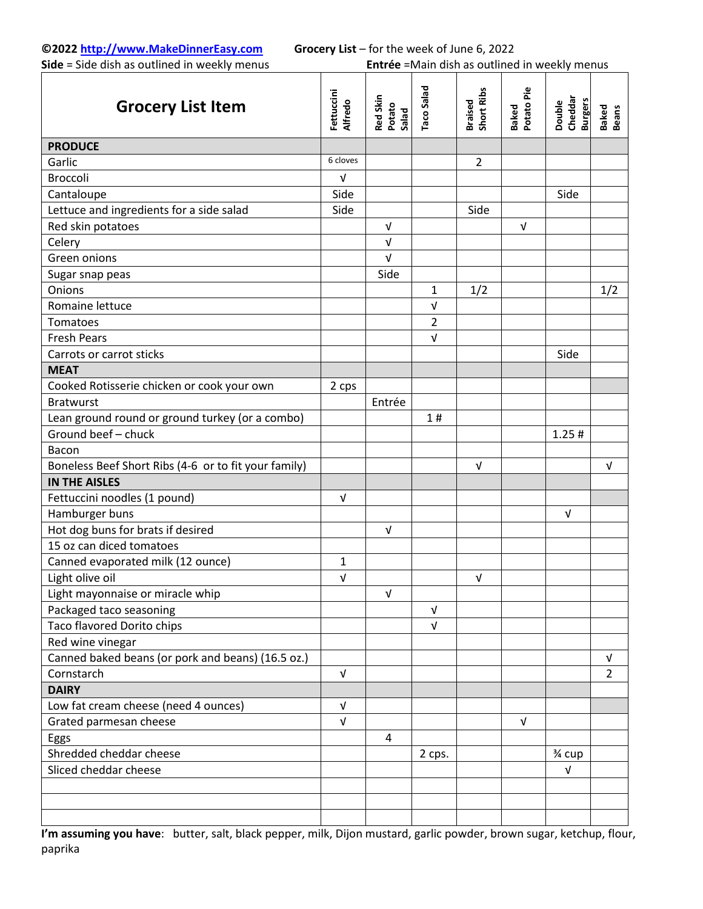**Side** = Side dish as outlined in weekly menus **Entrée** =Main dish as outlined in weekly menus

| <b>Grocery List Item</b>                             | Fettuccini<br><b>Alfredo</b> | Red Skin<br>Potato<br>Salad | Taco Salad                | <b>Braised<br/>Short Ribs</b> | Baked<br>Potato Pie | Cheddar<br><b>Burgers</b><br>Double | Baked<br>Beans |
|------------------------------------------------------|------------------------------|-----------------------------|---------------------------|-------------------------------|---------------------|-------------------------------------|----------------|
| <b>PRODUCE</b>                                       |                              |                             |                           |                               |                     |                                     |                |
| Garlic                                               | 6 cloves                     |                             |                           | $\overline{2}$                |                     |                                     |                |
| <b>Broccoli</b>                                      | v                            |                             |                           |                               |                     |                                     |                |
| Cantaloupe                                           | Side                         |                             |                           |                               |                     | Side                                |                |
| Lettuce and ingredients for a side salad             | Side                         |                             |                           | Side                          |                     |                                     |                |
| Red skin potatoes                                    |                              | V                           |                           |                               | $\sqrt{ }$          |                                     |                |
| Celery                                               |                              | $\sqrt{ }$                  |                           |                               |                     |                                     |                |
| Green onions                                         |                              | $\sqrt{ }$                  |                           |                               |                     |                                     |                |
| Sugar snap peas                                      |                              | Side                        |                           |                               |                     |                                     |                |
| Onions                                               |                              |                             | 1                         | 1/2                           |                     |                                     | 1/2            |
| Romaine lettuce                                      |                              |                             | $\ensuremath{\mathsf{V}}$ |                               |                     |                                     |                |
| Tomatoes                                             |                              |                             | $\overline{2}$            |                               |                     |                                     |                |
| <b>Fresh Pears</b>                                   |                              |                             | $\sqrt{ }$                |                               |                     |                                     |                |
| Carrots or carrot sticks                             |                              |                             |                           |                               |                     | Side                                |                |
| <b>MEAT</b>                                          |                              |                             |                           |                               |                     |                                     |                |
| Cooked Rotisserie chicken or cook your own           | 2 cps                        |                             |                           |                               |                     |                                     |                |
| <b>Bratwurst</b>                                     |                              | Entrée                      |                           |                               |                     |                                     |                |
| Lean ground round or ground turkey (or a combo)      |                              |                             | 1#                        |                               |                     |                                     |                |
| Ground beef - chuck                                  |                              |                             |                           |                               |                     | 1.25#                               |                |
| Bacon                                                |                              |                             |                           |                               |                     |                                     |                |
| Boneless Beef Short Ribs (4-6 or to fit your family) |                              |                             |                           | $\sqrt{ }$                    |                     |                                     | V              |
| <b>IN THE AISLES</b>                                 |                              |                             |                           |                               |                     |                                     |                |
| Fettuccini noodles (1 pound)                         | $\sqrt{ }$                   |                             |                           |                               |                     |                                     |                |
| Hamburger buns                                       |                              |                             |                           |                               |                     | V                                   |                |
| Hot dog buns for brats if desired                    |                              | V                           |                           |                               |                     |                                     |                |
| 15 oz can diced tomatoes                             |                              |                             |                           |                               |                     |                                     |                |
| Canned evaporated milk (12 ounce)                    | 1                            |                             |                           |                               |                     |                                     |                |
| Light olive oil                                      | V                            |                             |                           | $\sqrt{ }$                    |                     |                                     |                |
| Light mayonnaise or miracle whip                     |                              | $\sqrt{ }$                  |                           |                               |                     |                                     |                |
| Packaged taco seasoning                              |                              |                             | V                         |                               |                     |                                     |                |
| Taco flavored Dorito chips                           |                              |                             | $\sqrt{ }$                |                               |                     |                                     |                |
| Red wine vinegar                                     |                              |                             |                           |                               |                     |                                     |                |
| Canned baked beans (or pork and beans) (16.5 oz.)    |                              |                             |                           |                               |                     |                                     | V              |
| Cornstarch                                           | $\sqrt{ }$                   |                             |                           |                               |                     |                                     | $\overline{2}$ |
| <b>DAIRY</b>                                         |                              |                             |                           |                               |                     |                                     |                |
| Low fat cream cheese (need 4 ounces)                 | V                            |                             |                           |                               |                     |                                     |                |
| Grated parmesan cheese                               | $\sqrt{ }$                   |                             |                           |                               | $\sqrt{ }$          |                                     |                |
| Eggs                                                 |                              | 4                           |                           |                               |                     |                                     |                |
| Shredded cheddar cheese                              |                              |                             | 2 cps.                    |                               |                     | 3⁄4 cup                             |                |
| Sliced cheddar cheese                                |                              |                             |                           |                               |                     | V                                   |                |
|                                                      |                              |                             |                           |                               |                     |                                     |                |
|                                                      |                              |                             |                           |                               |                     |                                     |                |
|                                                      |                              |                             |                           |                               |                     |                                     |                |

**I'm assuming you have**: butter, salt, black pepper, milk, Dijon mustard, garlic powder, brown sugar, ketchup, flour, paprika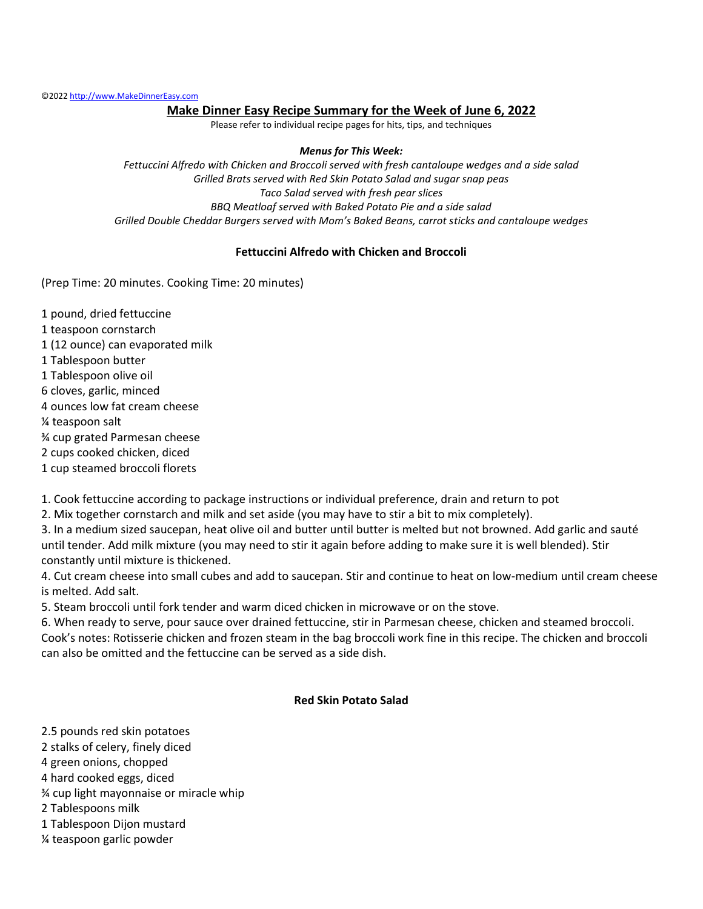#### **Make Dinner Easy Recipe Summary for the Week of June 6, 2022**

Please refer to individual recipe pages for hits, tips, and techniques

#### *Menus for This Week:*

*Fettuccini Alfredo with Chicken and Broccoli served with fresh cantaloupe wedges and a side salad Grilled Brats served with Red Skin Potato Salad and sugar snap peas Taco Salad served with fresh pear slices BBQ Meatloaf served with Baked Potato Pie and a side salad Grilled Double Cheddar Burgers served with Mom's Baked Beans, carrot sticks and cantaloupe wedges*

#### **Fettuccini Alfredo with Chicken and Broccoli**

(Prep Time: 20 minutes. Cooking Time: 20 minutes)

1 pound, dried fettuccine 1 teaspoon cornstarch 1 (12 ounce) can evaporated milk 1 Tablespoon butter 1 Tablespoon olive oil 6 cloves, garlic, minced 4 ounces low fat cream cheese ¼ teaspoon salt ¾ cup grated Parmesan cheese 2 cups cooked chicken, diced

1 cup steamed broccoli florets

1. Cook fettuccine according to package instructions or individual preference, drain and return to pot

2. Mix together cornstarch and milk and set aside (you may have to stir a bit to mix completely).

3. In a medium sized saucepan, heat olive oil and butter until butter is melted but not browned. Add garlic and sauté until tender. Add milk mixture (you may need to stir it again before adding to make sure it is well blended). Stir constantly until mixture is thickened.

4. Cut cream cheese into small cubes and add to saucepan. Stir and continue to heat on low-medium until cream cheese is melted. Add salt.

5. Steam broccoli until fork tender and warm diced chicken in microwave or on the stove.

6. When ready to serve, pour sauce over drained fettuccine, stir in Parmesan cheese, chicken and steamed broccoli. Cook's notes: Rotisserie chicken and frozen steam in the bag broccoli work fine in this recipe. The chicken and broccoli can also be omitted and the fettuccine can be served as a side dish.

#### **Red Skin Potato Salad**

2.5 pounds red skin potatoes

- 2 stalks of celery, finely diced
- 4 green onions, chopped
- 4 hard cooked eggs, diced
- ¾ cup light mayonnaise or miracle whip
- 2 Tablespoons milk
- 1 Tablespoon Dijon mustard
- ¼ teaspoon garlic powder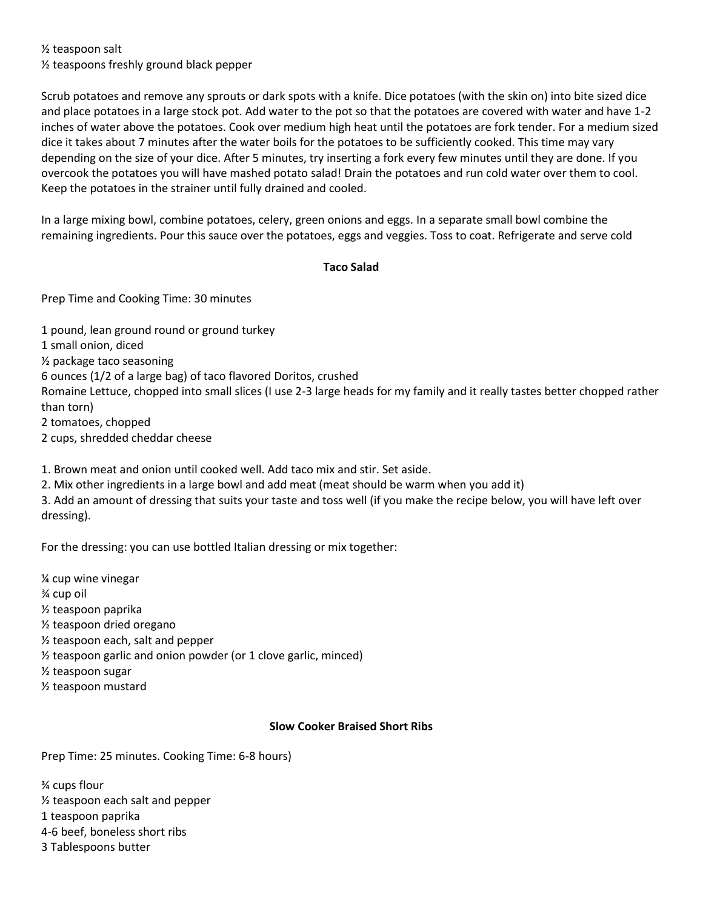½ teaspoon salt

½ teaspoons freshly ground black pepper

Scrub potatoes and remove any sprouts or dark spots with a knife. Dice potatoes (with the skin on) into bite sized dice and place potatoes in a large stock pot. Add water to the pot so that the potatoes are covered with water and have 1-2 inches of water above the potatoes. Cook over medium high heat until the potatoes are fork tender. For a medium sized dice it takes about 7 minutes after the water boils for the potatoes to be sufficiently cooked. This time may vary depending on the size of your dice. After 5 minutes, try inserting a fork every few minutes until they are done. If you overcook the potatoes you will have mashed potato salad! Drain the potatoes and run cold water over them to cool. Keep the potatoes in the strainer until fully drained and cooled.

In a large mixing bowl, combine potatoes, celery, green onions and eggs. In a separate small bowl combine the remaining ingredients. Pour this sauce over the potatoes, eggs and veggies. Toss to coat. Refrigerate and serve cold

### **Taco Salad**

Prep Time and Cooking Time: 30 minutes

1 pound, lean ground round or ground turkey 1 small onion, diced ½ package taco seasoning 6 ounces (1/2 of a large bag) of taco flavored Doritos, crushed Romaine Lettuce, chopped into small slices (I use 2-3 large heads for my family and it really tastes better chopped rather than torn) 2 tomatoes, chopped 2 cups, shredded cheddar cheese

1. Brown meat and onion until cooked well. Add taco mix and stir. Set aside.

2. Mix other ingredients in a large bowl and add meat (meat should be warm when you add it)

3. Add an amount of dressing that suits your taste and toss well (if you make the recipe below, you will have left over dressing).

For the dressing: you can use bottled Italian dressing or mix together:

¼ cup wine vinegar ¾ cup oil ½ teaspoon paprika ½ teaspoon dried oregano ½ teaspoon each, salt and pepper ½ teaspoon garlic and onion powder (or 1 clove garlic, minced) ½ teaspoon sugar ½ teaspoon mustard

## **Slow Cooker Braised Short Ribs**

Prep Time: 25 minutes. Cooking Time: 6-8 hours)

¾ cups flour

- ½ teaspoon each salt and pepper
- 1 teaspoon paprika
- 4-6 beef, boneless short ribs
- 3 Tablespoons butter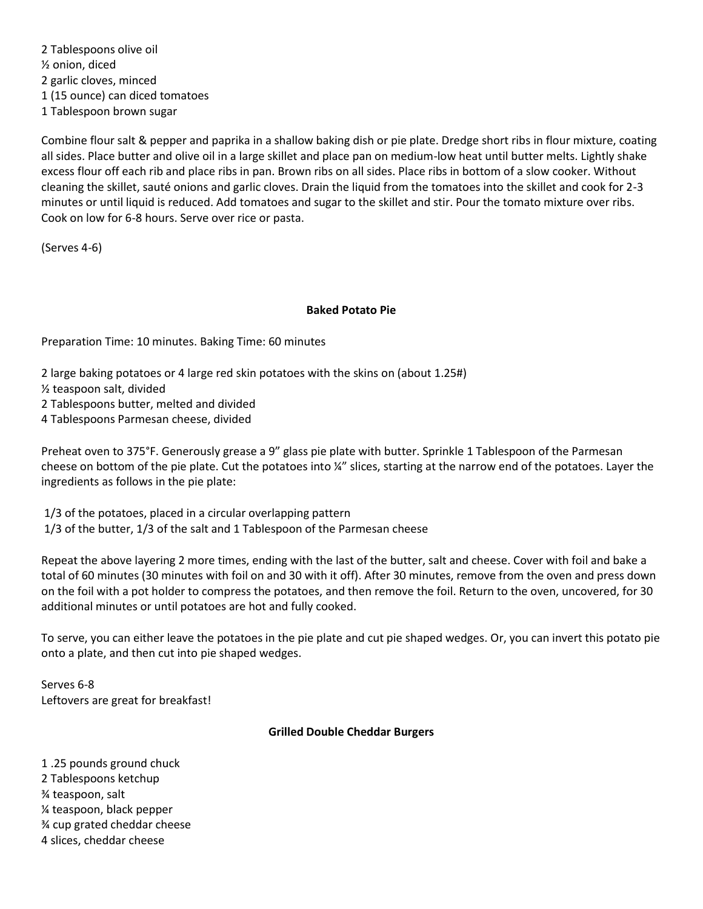2 Tablespoons olive oil ½ onion, diced 2 garlic cloves, minced 1 (15 ounce) can diced tomatoes 1 Tablespoon brown sugar

Combine flour salt & pepper and paprika in a shallow baking dish or pie plate. Dredge short ribs in flour mixture, coating all sides. Place butter and olive oil in a large skillet and place pan on medium-low heat until butter melts. Lightly shake excess flour off each rib and place ribs in pan. Brown ribs on all sides. Place ribs in bottom of a slow cooker. Without cleaning the skillet, sauté onions and garlic cloves. Drain the liquid from the tomatoes into the skillet and cook for 2-3 minutes or until liquid is reduced. Add tomatoes and sugar to the skillet and stir. Pour the tomato mixture over ribs. Cook on low for 6-8 hours. Serve over rice or pasta.

(Serves 4-6)

### **Baked Potato Pie**

Preparation Time: 10 minutes. Baking Time: 60 minutes

2 large baking potatoes or 4 large red skin potatoes with the skins on (about 1.25#)

½ teaspoon salt, divided

2 Tablespoons butter, melted and divided

4 Tablespoons Parmesan cheese, divided

Preheat oven to 375°F. Generously grease a 9" glass pie plate with butter. Sprinkle 1 Tablespoon of the Parmesan cheese on bottom of the pie plate. Cut the potatoes into ¼" slices, starting at the narrow end of the potatoes. Layer the ingredients as follows in the pie plate:

1/3 of the potatoes, placed in a circular overlapping pattern 1/3 of the butter, 1/3 of the salt and 1 Tablespoon of the Parmesan cheese

Repeat the above layering 2 more times, ending with the last of the butter, salt and cheese. Cover with foil and bake a total of 60 minutes (30 minutes with foil on and 30 with it off). After 30 minutes, remove from the oven and press down on the foil with a pot holder to compress the potatoes, and then remove the foil. Return to the oven, uncovered, for 30 additional minutes or until potatoes are hot and fully cooked.

To serve, you can either leave the potatoes in the pie plate and cut pie shaped wedges. Or, you can invert this potato pie onto a plate, and then cut into pie shaped wedges.

Serves 6-8 Leftovers are great for breakfast!

## **Grilled Double Cheddar Burgers**

1 .25 pounds ground chuck 2 Tablespoons ketchup ¾ teaspoon, salt ¼ teaspoon, black pepper ¾ cup grated cheddar cheese 4 slices, cheddar cheese